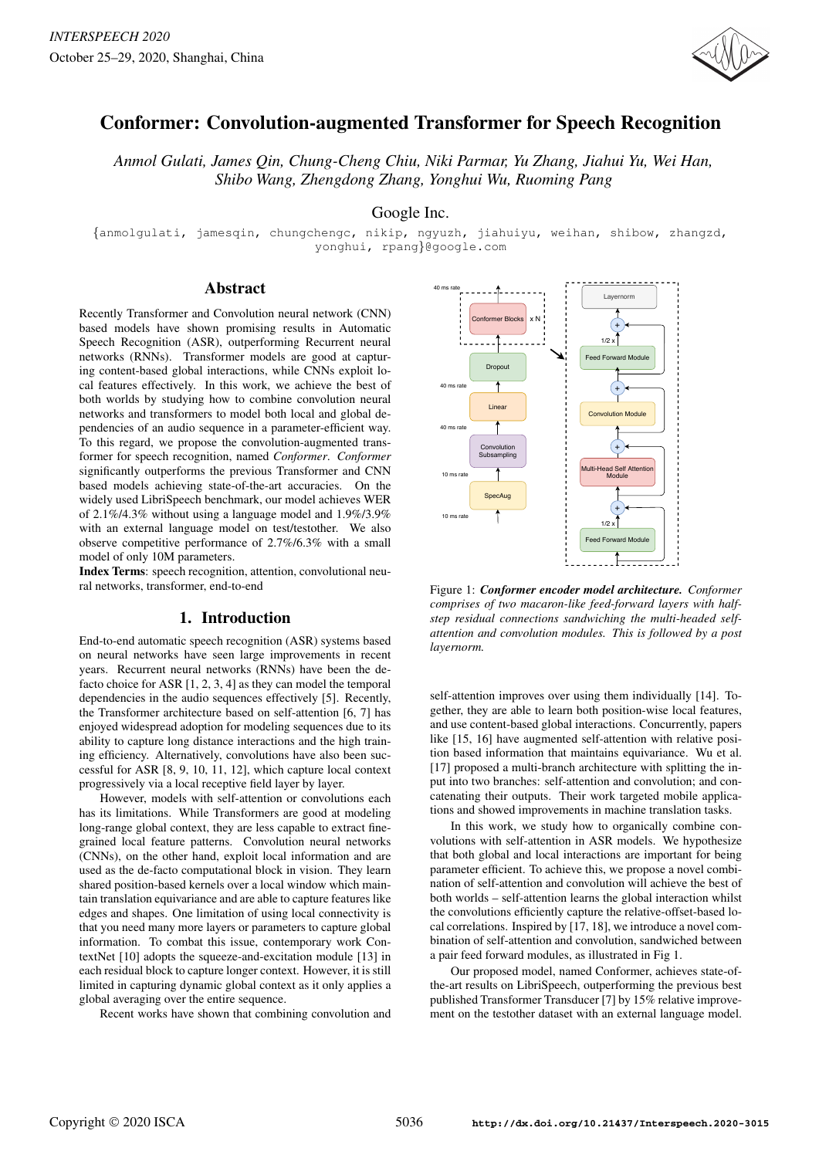

# Conformer: Convolution-augmented Transformer for Speech Recognition

*Anmol Gulati, James Qin, Chung-Cheng Chiu, Niki Parmar, Yu Zhang, Jiahui Yu, Wei Han, Shibo Wang, Zhengdong Zhang, Yonghui Wu, Ruoming Pang*

Google Inc.

{anmolgulati, jamesqin, chungchengc, nikip, ngyuzh, jiahuiyu, weihan, shibow, zhangzd, yonghui, rpang}@google.com

## Abstract

Recently Transformer and Convolution neural network (CNN) based models have shown promising results in Automatic Speech Recognition (ASR), outperforming Recurrent neural networks (RNNs). Transformer models are good at capturing content-based global interactions, while CNNs exploit local features effectively. In this work, we achieve the best of both worlds by studying how to combine convolution neural networks and transformers to model both local and global dependencies of an audio sequence in a parameter-efficient way. To this regard, we propose the convolution-augmented transformer for speech recognition, named *Conformer*. *Conformer* significantly outperforms the previous Transformer and CNN based models achieving state-of-the-art accuracies. On the widely used LibriSpeech benchmark, our model achieves WER of 2.1%/4.3% without using a language model and 1.9%/3.9% with an external language model on test/testother. We also observe competitive performance of 2.7%/6.3% with a small model of only 10M parameters.

Index Terms: speech recognition, attention, convolutional neural networks, transformer, end-to-end

# 1. Introduction

End-to-end automatic speech recognition (ASR) systems based on neural networks have seen large improvements in recent years. Recurrent neural networks (RNNs) have been the defacto choice for ASR [1, 2, 3, 4] as they can model the temporal dependencies in the audio sequences effectively [5]. Recently, the Transformer architecture based on self-attention [6, 7] has enjoyed widespread adoption for modeling sequences due to its ability to capture long distance interactions and the high training efficiency. Alternatively, convolutions have also been successful for ASR [8, 9, 10, 11, 12], which capture local context progressively via a local receptive field layer by layer.

However, models with self-attention or convolutions each has its limitations. While Transformers are good at modeling long-range global context, they are less capable to extract finegrained local feature patterns. Convolution neural networks (CNNs), on the other hand, exploit local information and are used as the de-facto computational block in vision. They learn shared position-based kernels over a local window which maintain translation equivariance and are able to capture features like edges and shapes. One limitation of using local connectivity is that you need many more layers or parameters to capture global information. To combat this issue, contemporary work ContextNet [10] adopts the squeeze-and-excitation module [13] in each residual block to capture longer context. However, it is still limited in capturing dynamic global context as it only applies a global averaging over the entire sequence.

Recent works have shown that combining convolution and



Figure 1: *Conformer encoder model architecture. Conformer comprises of two macaron-like feed-forward layers with halfstep residual connections sandwiching the multi-headed selfattention and convolution modules. This is followed by a post layernorm.*

self-attention improves over using them individually [14]. Together, they are able to learn both position-wise local features, and use content-based global interactions. Concurrently, papers like [15, 16] have augmented self-attention with relative position based information that maintains equivariance. Wu et al. [17] proposed a multi-branch architecture with splitting the input into two branches: self-attention and convolution; and concatenating their outputs. Their work targeted mobile applications and showed improvements in machine translation tasks.

In this work, we study how to organically combine convolutions with self-attention in ASR models. We hypothesize that both global and local interactions are important for being parameter efficient. To achieve this, we propose a novel combination of self-attention and convolution will achieve the best of both worlds – self-attention learns the global interaction whilst the convolutions efficiently capture the relative-offset-based local correlations. Inspired by [17, 18], we introduce a novel combination of self-attention and convolution, sandwiched between a pair feed forward modules, as illustrated in Fig 1.

Our proposed model, named Conformer, achieves state-ofthe-art results on LibriSpeech, outperforming the previous best published Transformer Transducer [7] by 15% relative improvement on the testother dataset with an external language model.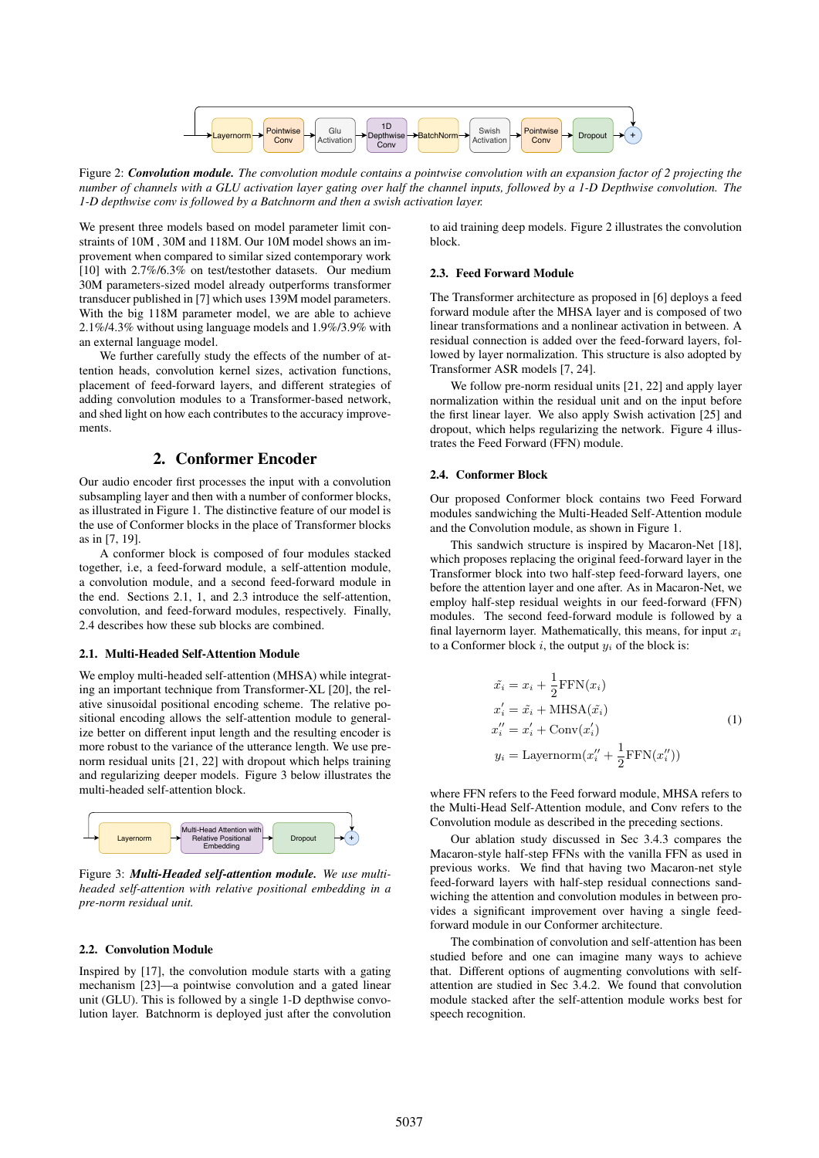

Figure 2: *Convolution module. The convolution module contains a pointwise convolution with an expansion factor of 2 projecting the number of channels with a GLU activation layer gating over half the channel inputs, followed by a 1-D Depthwise convolution. The 1-D depthwise conv is followed by a Batchnorm and then a swish activation layer.*

We present three models based on model parameter limit constraints of 10M , 30M and 118M. Our 10M model shows an improvement when compared to similar sized contemporary work [10] with 2.7%/6.3% on test/testother datasets. Our medium 30M parameters-sized model already outperforms transformer transducer published in [7] which uses 139M model parameters. With the big 118M parameter model, we are able to achieve 2.1%/4.3% without using language models and 1.9%/3.9% with an external language model.

We further carefully study the effects of the number of attention heads, convolution kernel sizes, activation functions, placement of feed-forward layers, and different strategies of adding convolution modules to a Transformer-based network, and shed light on how each contributes to the accuracy improvements.

# 2. Conformer Encoder

Our audio encoder first processes the input with a convolution subsampling layer and then with a number of conformer blocks, as illustrated in Figure 1. The distinctive feature of our model is the use of Conformer blocks in the place of Transformer blocks as in [7, 19].

A conformer block is composed of four modules stacked together, i.e, a feed-forward module, a self-attention module, a convolution module, and a second feed-forward module in the end. Sections 2.1, 1, and 2.3 introduce the self-attention, convolution, and feed-forward modules, respectively. Finally, 2.4 describes how these sub blocks are combined.

### 2.1. Multi-Headed Self-Attention Module

We employ multi-headed self-attention (MHSA) while integrating an important technique from Transformer-XL [20], the relative sinusoidal positional encoding scheme. The relative positional encoding allows the self-attention module to generalize better on different input length and the resulting encoder is more robust to the variance of the utterance length. We use prenorm residual units [21, 22] with dropout which helps training and regularizing deeper models. Figure 3 below illustrates the multi-headed self-attention block.



Figure 3: *Multi-Headed self-attention module. We use multiheaded self-attention with relative positional embedding in a pre-norm residual unit.*

#### 2.2. Convolution Module

Inspired by [17], the convolution module starts with a gating mechanism [23]—a pointwise convolution and a gated linear unit (GLU). This is followed by a single 1-D depthwise convolution layer. Batchnorm is deployed just after the convolution

to aid training deep models. Figure 2 illustrates the convolution block.

#### 2.3. Feed Forward Module

The Transformer architecture as proposed in [6] deploys a feed forward module after the MHSA layer and is composed of two linear transformations and a nonlinear activation in between. A residual connection is added over the feed-forward layers, followed by layer normalization. This structure is also adopted by Transformer ASR models [7, 24].

We follow pre-norm residual units [21, 22] and apply layer normalization within the residual unit and on the input before the first linear layer. We also apply Swish activation [25] and dropout, which helps regularizing the network. Figure 4 illustrates the Feed Forward (FFN) module.

### 2.4. Conformer Block

Our proposed Conformer block contains two Feed Forward modules sandwiching the Multi-Headed Self-Attention module and the Convolution module, as shown in Figure 1.

This sandwich structure is inspired by Macaron-Net [18], which proposes replacing the original feed-forward layer in the Transformer block into two half-step feed-forward layers, one before the attention layer and one after. As in Macaron-Net, we employ half-step residual weights in our feed-forward (FFN) modules. The second feed-forward module is followed by a final layernorm layer. Mathematically, this means, for input  $x_i$ to a Conformer block  $i$ , the output  $y_i$  of the block is:

$$
\tilde{x_i} = x_i + \frac{1}{2} \text{FFN}(x_i)
$$
  
\n
$$
x'_i = \tilde{x_i} + \text{MHSA}(\tilde{x_i})
$$
  
\n
$$
x''_i = x'_i + \text{Conv}(x'_i)
$$
  
\n
$$
y_i = \text{Layernorm}(x''_i + \frac{1}{2} \text{FFN}(x''_i))
$$
\n(1)

where FFN refers to the Feed forward module, MHSA refers to the Multi-Head Self-Attention module, and Conv refers to the Convolution module as described in the preceding sections.

Our ablation study discussed in Sec 3.4.3 compares the Macaron-style half-step FFNs with the vanilla FFN as used in previous works. We find that having two Macaron-net style feed-forward layers with half-step residual connections sandwiching the attention and convolution modules in between provides a significant improvement over having a single feedforward module in our Conformer architecture.

The combination of convolution and self-attention has been studied before and one can imagine many ways to achieve that. Different options of augmenting convolutions with selfattention are studied in Sec 3.4.2. We found that convolution module stacked after the self-attention module works best for speech recognition.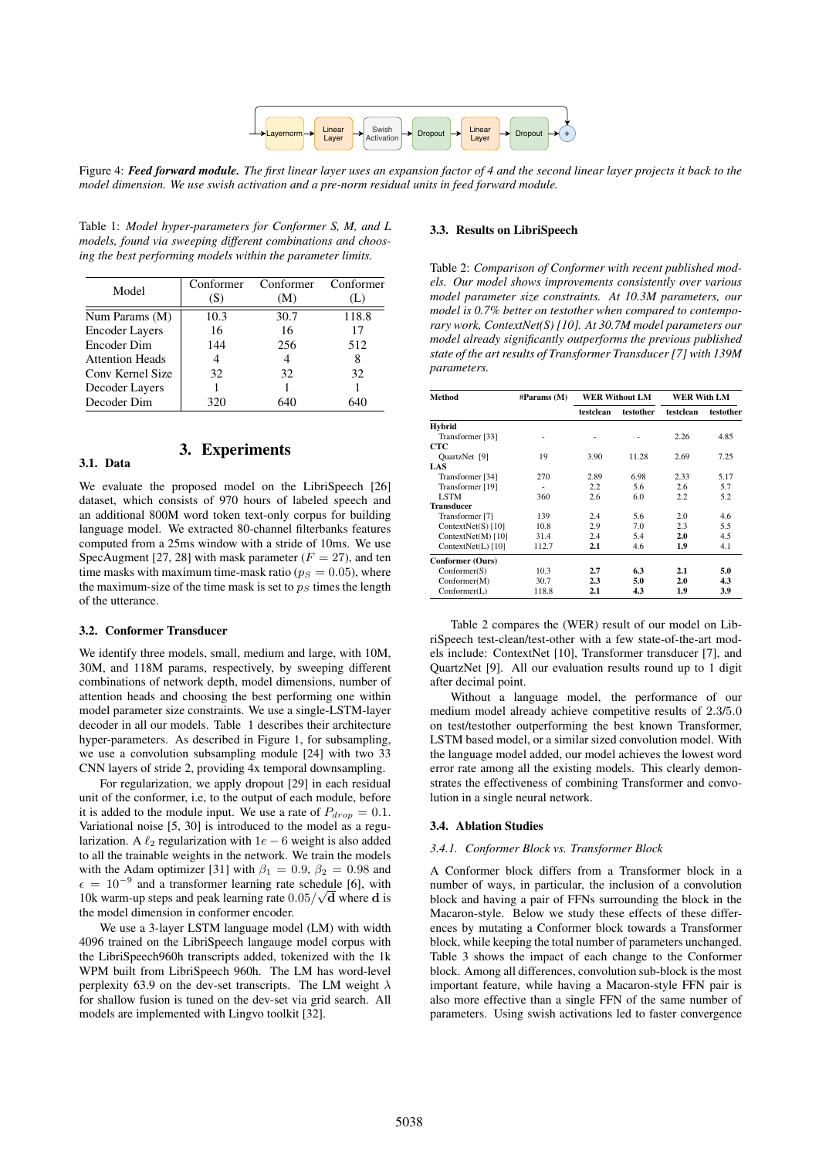

Figure 4: *Feed forward module. The first linear layer uses an expansion factor of 4 and the second linear layer projects it back to the model dimension. We use swish activation and a pre-norm residual units in feed forward module.*

Table 1: *Model hyper-parameters for Conformer S, M, and L models, found via sweeping different combinations and choosing the best performing models within the parameter limits.*

| Model                  | Conformer<br>(S) | Conformer<br>(M) | Conformer |
|------------------------|------------------|------------------|-----------|
| Num Params (M)         | 10.3             | 30.7             | 118.8     |
| <b>Encoder Layers</b>  | 16               | 16               | 17        |
| Encoder Dim            | 144              | 256              | 512       |
| <b>Attention Heads</b> | 4                |                  |           |
| Conv Kernel Size       | 32               | 32               | 32        |
| Decoder Layers         |                  |                  |           |
| Decoder Dim            | 320              | 640              |           |

#### 3.1. Data

We evaluate the proposed model on the LibriSpeech [26] dataset, which consists of 970 hours of labeled speech and an additional 800M word token text-only corpus for building language model. We extracted 80-channel filterbanks features computed from a 25ms window with a stride of 10ms. We use SpecAugment [27, 28] with mask parameter ( $F = 27$ ), and ten time masks with maximum time-mask ratio ( $p<sub>S</sub> = 0.05$ ), where the maximum-size of the time mask is set to  $p<sub>S</sub>$  times the length of the utterance.

3. Experiments

#### 3.2. Conformer Transducer

We identify three models, small, medium and large, with 10M, 30M, and 118M params, respectively, by sweeping different combinations of network depth, model dimensions, number of attention heads and choosing the best performing one within model parameter size constraints. We use a single-LSTM-layer decoder in all our models. Table 1 describes their architecture hyper-parameters. As described in Figure 1, for subsampling, we use a convolution subsampling module [24] with two 33 CNN layers of stride 2, providing 4x temporal downsampling.

For regularization, we apply dropout [29] in each residual unit of the conformer, i.e, to the output of each module, before it is added to the module input. We use a rate of  $P_{drop} = 0.1$ . Variational noise [5, 30] is introduced to the model as a regularization. A  $\ell_2$  regularization with 1e – 6 weight is also added to all the trainable weights in the network. We train the models with the Adam optimizer [31] with  $\beta_1 = 0.9$ ,  $\beta_2 = 0.98$  and  $\epsilon = 10^{-9}$  and a transformer learning rate schedule [6], with 10k warm-up steps and peak learning rate  $0.05/\sqrt{d}$  where d is the model dimension in conformer encoder.

We use a 3-layer LSTM language model (LM) with width 4096 trained on the LibriSpeech langauge model corpus with the LibriSpeech960h transcripts added, tokenized with the 1k WPM built from LibriSpeech 960h. The LM has word-level perplexity 63.9 on the dev-set transcripts. The LM weight  $\lambda$ for shallow fusion is tuned on the dev-set via grid search. All models are implemented with Lingvo toolkit [32].

#### 3.3. Results on LibriSpeech

Table 2: *Comparison of Conformer with recent published models. Our model shows improvements consistently over various model parameter size constraints. At 10.3M parameters, our model is 0.7% better on testother when compared to contemporary work, ContextNet(S) [10]. At 30.7M model parameters our model already significantly outperforms the previous published state of the art results of Transformer Transducer [7] with 139M parameters.*

| Method             | #Params (M) | <b>WER Without LM</b> |           | WER With LM |           |
|--------------------|-------------|-----------------------|-----------|-------------|-----------|
|                    |             | testclean             | testother | testclean   | testother |
| <b>Hybrid</b>      |             |                       |           |             |           |
| Transformer [33]   |             |                       |           | 2.26        | 4.85      |
| CTC                |             |                       |           |             |           |
| QuartzNet [9]      | 19          | 3.90                  | 11.28     | 2.69        | 7.25      |
| LAS                |             |                       |           |             |           |
| Transformer [34]   | 270         | 2.89                  | 6.98      | 2.33        | 5.17      |
| Transformer [19]   |             | 2.2                   | 5.6       | 2.6         | 5.7       |
| <b>LSTM</b>        | 360         | 2.6                   | 6.0       | 2.2         | 5.2       |
| <b>Transducer</b>  |             |                       |           |             |           |
| Transformer [7]    | 139         | 2.4                   | 5.6       | 2.0         | 4.6       |
| ContextNet(S) [10] | 10.8        | 2.9                   | 7.0       | 2.3         | 5.5       |
| ContextNet(M) [10] | 31.4        | 2.4                   | 5.4       | 2.0         | 4.5       |
| ContextNet(L) [10] | 112.7       | 2.1                   | 4.6       | 1.9         | 4.1       |
| Conformer (Ours)   |             |                       |           |             |           |
| Conformer(S)       | 10.3        | 2.7                   | 6.3       | 2.1         | 5.0       |
| Conformer(M)       | 30.7        | 2.3                   | 5.0       | 2.0         | 4.3       |
| Conformer(L)       | 118.8       | 2.1                   | 4.3       | 1.9         | 3.9       |

Table 2 compares the (WER) result of our model on LibriSpeech test-clean/test-other with a few state-of-the-art models include: ContextNet [10], Transformer transducer [7], and QuartzNet [9]. All our evaluation results round up to 1 digit after decimal point.

Without a language model, the performance of our medium model already achieve competitive results of 2.3/5.0 on test/testother outperforming the best known Transformer, LSTM based model, or a similar sized convolution model. With the language model added, our model achieves the lowest word error rate among all the existing models. This clearly demonstrates the effectiveness of combining Transformer and convolution in a single neural network.

#### 3.4. Ablation Studies

#### *3.4.1. Conformer Block vs. Transformer Block*

A Conformer block differs from a Transformer block in a number of ways, in particular, the inclusion of a convolution block and having a pair of FFNs surrounding the block in the Macaron-style. Below we study these effects of these differences by mutating a Conformer block towards a Transformer block, while keeping the total number of parameters unchanged. Table 3 shows the impact of each change to the Conformer block. Among all differences, convolution sub-block is the most important feature, while having a Macaron-style FFN pair is also more effective than a single FFN of the same number of parameters. Using swish activations led to faster convergence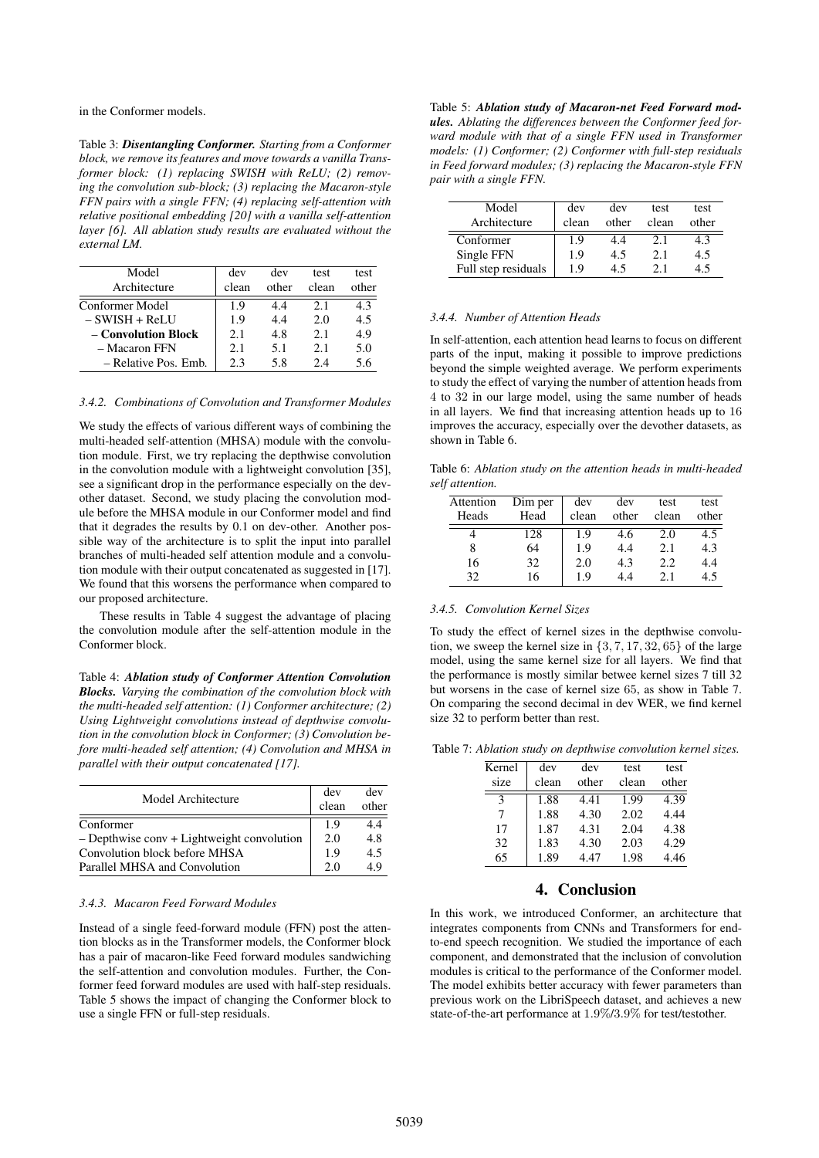in the Conformer models.

Table 3: *Disentangling Conformer. Starting from a Conformer block, we remove its features and move towards a vanilla Transformer block: (1) replacing SWISH with ReLU; (2) removing the convolution sub-block; (3) replacing the Macaron-style FFN pairs with a single FFN; (4) replacing self-attention with relative positional embedding [20] with a vanilla self-attention layer [6]. All ablation study results are evaluated without the external LM.*

| Model<br>Architecture | dev<br>clean | dev<br>other | test<br>clean | test<br>other |
|-----------------------|--------------|--------------|---------------|---------------|
| Conformer Model       | 19           | 44           | 21            | 43            |
| $-$ SWISH $+$ ReLU    | 1.9          | 4.4          | 2.0           | 4.5           |
| – Convolution Block   | 21           | 4.8          | 2.1           | 4.9           |
| - Macaron FFN         | 21           | 5.1          | 2.1           | 5.0           |
| – Relative Pos. Emb.  | 23           | 5.8          | 24            | 5.6           |

### *3.4.2. Combinations of Convolution and Transformer Modules*

We study the effects of various different ways of combining the multi-headed self-attention (MHSA) module with the convolution module. First, we try replacing the depthwise convolution in the convolution module with a lightweight convolution [35], see a significant drop in the performance especially on the devother dataset. Second, we study placing the convolution module before the MHSA module in our Conformer model and find that it degrades the results by 0.1 on dev-other. Another possible way of the architecture is to split the input into parallel branches of multi-headed self attention module and a convolution module with their output concatenated as suggested in [17]. We found that this worsens the performance when compared to our proposed architecture.

These results in Table 4 suggest the advantage of placing the convolution module after the self-attention module in the Conformer block.

Table 4: *Ablation study of Conformer Attention Convolution Blocks. Varying the combination of the convolution block with the multi-headed self attention: (1) Conformer architecture; (2) Using Lightweight convolutions instead of depthwise convolution in the convolution block in Conformer; (3) Convolution before multi-headed self attention; (4) Convolution and MHSA in parallel with their output concatenated [17].*

| Model Architecture                           |     | dev   |
|----------------------------------------------|-----|-------|
|                                              |     | other |
| Conformer                                    | 1.9 | 4.4   |
| $-$ Depthwise conv + Lightweight convolution | 2.0 | 4.8   |
| Convolution block before MHSA                | 1.9 | 4.5   |
| Parallel MHSA and Convolution                | 20  | 49    |

#### *3.4.3. Macaron Feed Forward Modules*

Instead of a single feed-forward module (FFN) post the attention blocks as in the Transformer models, the Conformer block has a pair of macaron-like Feed forward modules sandwiching the self-attention and convolution modules. Further, the Conformer feed forward modules are used with half-step residuals. Table 5 shows the impact of changing the Conformer block to use a single FFN or full-step residuals.

Table 5: *Ablation study of Macaron-net Feed Forward modules. Ablating the differences between the Conformer feed forward module with that of a single FFN used in Transformer models: (1) Conformer; (2) Conformer with full-step residuals in Feed forward modules; (3) replacing the Macaron-style FFN pair with a single FFN.*

| Model<br>Architecture | dev<br>clean | dev<br>other | test<br>clean | test<br>other |
|-----------------------|--------------|--------------|---------------|---------------|
| Conformer             | 1.9          | 4.4          | 2.1           | 4.3           |
| Single FFN            | 1.9          | 4.5          | 2.1           | 4.5           |
| Full step residuals   | 19           | 45           | 21            |               |

# *3.4.4. Number of Attention Heads*

In self-attention, each attention head learns to focus on different parts of the input, making it possible to improve predictions beyond the simple weighted average. We perform experiments to study the effect of varying the number of attention heads from 4 to 32 in our large model, using the same number of heads in all layers. We find that increasing attention heads up to 16 improves the accuracy, especially over the devother datasets, as shown in Table 6.

Table 6: *Ablation study on the attention heads in multi-headed self attention.*

| Attention | Dim per | dev   | dev   | test  | test  |
|-----------|---------|-------|-------|-------|-------|
| Heads     | Head    | clean | other | clean | other |
|           | 128     | 1.9   | 4.6   | 2.0   | 4.5   |
| 8         | 64      | 1.9   | 4.4   | 2.1   | 4.3   |
| 16        | 32      | 2.0   | 4.3   | 2.2.  | 4.4   |
| 32        | 16      | 1.9   | 44    | 2.1   | 4.5   |

### *3.4.5. Convolution Kernel Sizes*

To study the effect of kernel sizes in the depthwise convolution, we sweep the kernel size in  $\{3, 7, 17, 32, 65\}$  of the large model, using the same kernel size for all layers. We find that the performance is mostly similar betwee kernel sizes 7 till 32 but worsens in the case of kernel size 65, as show in Table 7. On comparing the second decimal in dev WER, we find kernel size 32 to perform better than rest.

Table 7: *Ablation study on depthwise convolution kernel sizes.*

| dev   | dev   | test  | test  |
|-------|-------|-------|-------|
| clean | other | clean | other |
| 1.88  | 4.41  | 1.99  | 4.39  |
| 1.88  | 4.30  | 2.02  | 4.44  |
| 1.87  | 4.31  | 2.04  | 4.38  |
| 1.83  | 4.30  | 2.03  | 4.29  |
| 1.89  | 4.47  | 1.98  | 4.46  |
|       |       |       |       |

# 4. Conclusion

In this work, we introduced Conformer, an architecture that integrates components from CNNs and Transformers for endto-end speech recognition. We studied the importance of each component, and demonstrated that the inclusion of convolution modules is critical to the performance of the Conformer model. The model exhibits better accuracy with fewer parameters than previous work on the LibriSpeech dataset, and achieves a new state-of-the-art performance at 1.9%/3.9% for test/testother.